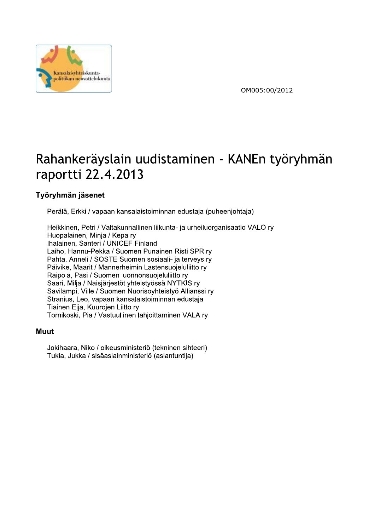

OM005:00/2012

# Rahankeraysiain uudistaminen - KANEN työrynmän

# Työryhmän jäsenet

 $\mathbb{R}^2$ Peraia, Erkki / vapaan kansalaistoiminnan edustaja (puneenjontaja)

**Exarge States And The Control of States And The Control of States And The Control of States And The Control of States And The Control of States And The Control of States And The Control of States And The Control of States**  $\ddot{\phantom{a}}$ Heikkinen, Petri / Valtakunnallinen liikunta- ja urheiluorganisaatio VALO ry Huopalainen, Minja / Kepa ry Ihalainen, Santeri / UNICEF Finland Laiho, Hannu-Pekka / Suomen Punainen Risti SPR ry Pahta, Anneli / SOSTE Suomen sosiaali- ja terveys ry Päivike, Maarit / Mannerheimin Lastensuojeluliitto ry Raipola, Pasi / Suomen luonnonsuojeluliitto ry Saari, Milja / Naisjärjestöt yhteistyössä NYTKIS ry Savilampi, Ville / Suomen Nuorisoyhteistyö Allianssi ry Stranius, Leo, vapaan kansalaistoiminnan edustaja Tiainen Eija, Kuurojen Liitto ry Tornikoski, Pia / Vastuullinen lahjoittaminen VALA ry

#### L. wuut

ú. bD;<J??6?9Y<;D=D<;5GBE<A<BC56<^IC5;A<A5AB<JC556<K Tukia, Jukka / sisäasiainministeriö (asiantuntija)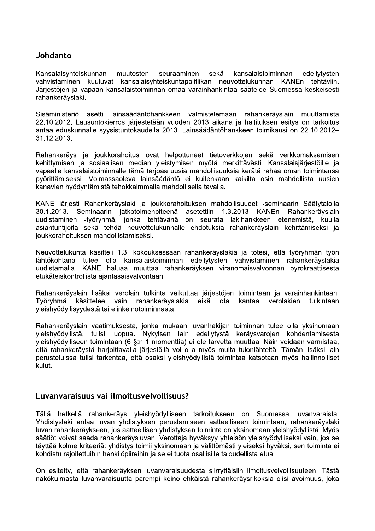## Johdanto

Kansalaisyhteiskunnan muutosten seuraaminen sekä kansalaistoiminnan edellytysten vahvistaminen kuuluvat kansalaisyhteiskuntapolitiikan neuvottelukunnan KANEn tehtäviin. Järjestöjen ja vapaan kansalaistoiminnan omaa varainhankintaa säätelee Suomessa keskeisesti rahankeräyslaki.

Sisäministeriö asetti lainsäädäntöhankkeen valmistelemaan rahankerävslain muuttamista 22.10.2012. Lausuntokierros järjestetään vuoden 2013 aikana ja hallituksen esitys on tarkoitus antaa eduskunnalle syysistuntokaudella 2013. Lainsäädäntöhankkeen toimikausi on 22.10.2012-31.12.2013.

Rahankeräys ja joukkorahoitus ovat helpottuneet tietoverkkojen sekä verkkomaksamisen kehittymisen ja sosiaalisen median vleistymisen myötä merkittävästi. Kansalaisiäriestöille ja vapaalle kansalaistoiminnalle tämä tarjoaa uusia mahdollisuuksia kerätä rahaa oman toimintansa pyörittämiseksi. Voimassaoleva lainsäädäntö ei kuitenkaan kaikilta osin mahdollista uusien kanavien hyödyntämistä tehokkaimmalla mahdollisella tavalla.

KANE järjesti Rahankeräyslaki ja joukkorahoituksen mahdollisuudet -seminaarin Säätytalolla  $30.1.2013$ . Seminaarin jatkotoimenpiteenä asetettiin 1.3.2013 KANEn Rahankerävslain -työryhmä, jonka tehtävänä uudistaminen on seurata lakihankkeen etenemistä, kuulla asiantuntijoita sekä tehdä neuvottelukunnalle ehdotuksia rahankeräyslain kehittämiseksi ja joukkorahoituksen mahdollistamiseksi.

Neuvottelukunta käsitteli 1.3. kokouksessaan rahankeräyslakia ja totesi, että työryhmän työn lähtökohtana tulee olla kansalaistoiminnan edellytysten vahvistaminen rahankeräyslakia uudistamalla. KANE haluaa muuttaa rahankeräyksen viranomaisvalvonnan byrokraattisesta etukäteiskontrollista ajantasaisvalvontaan.

Rahankeräyslain lisäksi verolain tulkinta vaikuttaa järjestöjen toimintaan ja varainhankintaan. Tvörvhmä käsittelee vain rahankerävslakia eikä ota kantaa verolakien tulkintaan yleishyödyllisyydestä tai elinkeinotoiminnasta.

Rahankeräyslain vaatimuksesta, jonka mukaan luvanhakijan toiminnan tulee olla yksinomaan yleishyödyllistä, tulisi luopua. Nykyisen lain edellytystä keräysvarojen kohdentamisesta yleishyödylliseen toimintaan (6 §:n 1 momenttia) ei ole tarvetta muuttaa. Näin voidaan varmistaa, että rahankeräystä harjoittavalla järjestöllä voi olla myös muita tulonlähteitä. Tämän lisäksi lain perusteluissa tulisi tarkentaa, että osaksi yleishyödyllistä toimintaa katsotaan myös hallinnolliset kulut.

#### Luvanvaraisuus vai ilmoitusvelvollisuus?

Tällä hetkellä rahankeräys yleishyödylliseen tarkoitukseen on Suomessa luvanvaraista. Yhdistyslaki antaa luvan yhdistyksen perustamiseen aatteelliseen toimintaan, rahankeräyslaki luvan rahankeräykseen, jos aatteellisen yhdistyksen toiminta on yksinomaan yleishyödyllistä. Myös säätiöt voivat saada rahankeräysluvan. Verottaja hyväksyy yhteisön yleishyödylliseksi vain, jos se täyttää kolme kriteeriä: vhdistys toimii yksinomaan ja välittömästi yleiseksi hyväksi, sen toiminta ei kohdistu rajoitettuihin henkilöpiireihin ja se ei tuota osallisille taloudellista etua.

On esitetty, että rahankeräyksen luvanvaraisuudesta siirryttäisiin ilmoitusvelvollisuuteen. Tästä näkökulmasta luvanvaraisuutta parempi keino ehkäistä rahankeräysrikoksia olisi avoimuus, joka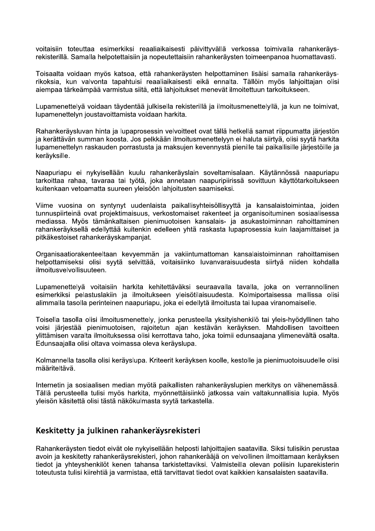voitaisiin toteuttaa esimerkiksi reaaliaikaisesti päivittyvällä verkossa toimivalla rahankeräysrekisterillä. Samalla helpotettaisiin ja nopeutettaisiin rahankeräysten toimeenpanoa huomattavasti.

Toisaalta voidaan myös katsoa, että rahankeräysten helpottaminen lisäisi samalla rahankeräysrikoksia, kun valvonta tapahtuisi reaaliaikaisesti eikä ennalta. Tällöin myös lahjoittajan olisi aiempaa tärkeämpää varmistua siitä, että lahjoitukset menevät ilmoitettuun tarkoitukseen.

Lupamenettelyä voidaan täydentää julkisella rekisterillä ja ilmoitusmenettelyllä, ja kun ne toimivat, lupamenettelyn joustavoittamista voidaan harkita.

Rahankerävsluvan hinta ja lupaprosessin velvoitteet ovat tällä hetkellä samat riippumatta järjestön ja kerättävän summan koosta. Jos pelkkään ilmoitusmenettelyyn ei haluta siirtyä, olisi syytä harkita lupamenettelyn raskauden porrastusta ja maksujen kevennystä pienille tai paikallisille järjestöille ja keräyksille.

Naapuriapu ei nykyisellään kuulu rahankeräyslain soveltamisalaan. Käytännössä naapuriapu tarkoittaa rahaa, tavaraa tai työtä, joka annetaan naapuripiirissä sovittuun käyttötarkoitukseen kuitenkaan vetoamatta suureen yleisöön lahjoitusten saamiseksi.

Viime vuosina on syntynyt uudenlaista paikallisyhteisöllisyyttä ja kansalaistoimintaa, joiden tunnuspiirteinä ovat projektimaisuus, verkostomaiset rakenteet ja organisoituminen sosiaalisessa mediassa. Myös tämänkaltaisen pienimuotoisen kansalais- ja asukastoiminnan rahoittaminen rahankeräyksellä edellyttää kuitenkin edelleen yhtä raskasta lupaprosessia kuin laajamittaiset ja pitkäkestoiset rahankeräyskampanjat.

Organisaatiorakenteeltaan kevyemmän ja vakiintumattoman kansalaistoiminnan rahoittamisen helpottamiseksi olisi syytä selvittää, voitaisiinko luvanvaraisuudesta siirtyä niiden kohdalla ilmoitusvelvollisuuteen.

Lupamenettelyä voitaisiin harkita kehitettäväksi seuraavalla tavalla, joka on verrannollinen esimerkiksi pelastuslakiin ja ilmoitukseen yleisötilaisuudesta. Kolmiportaisessa mallissa olisi alimmalla tasolla perinteinen naapuriapu, joka ei edellytä ilmoitusta tai lupaa viranomaiselle.

Toisella tasolla olisi ilmoitusmenettely, jonka perusteella yksityishenkilö tai yleis-hyödyllinen taho voisi järjestää pienimuotoisen, rajoitetun ajan kestävän keräyksen. Mahdollisen tavoitteen ylittämisen varalta ilmoituksessa olisi kerrottava taho, joka toimii edunsaajana ylimenevältä osalta. Edunsaajalla olisi oltava voimassa oleva keräyslupa.

Kolmannella tasolla olisi keräyslupa. Kriteerit keräyksen koolle, kestolle ja pienimuotoisuudelle olisi määriteltävä.

Internetin ja sosiaalisen median myötä paikallisten rahankeräyslupien merkitys on vähenemässä. Tällä perusteella tulisi myös harkita, myönnettäisiinkö jatkossa vain valtakunnallisia lupia. Myös yleisön käsitettä olisi tästä näkökulmasta syytä tarkastella.

## Keskitetty ja julkinen rahankeräysrekisteri

Rahankeräysten tiedot eivät ole nykyisellään helposti lahjoittajien saatavilla. Siksi tulisikin perustaa avoin ja keskitetty rahankeräysrekisteri, johon rahankerääjä on velvollinen ilmoittamaan keräyksen tiedot ja yhteyshenkilöt kenen tahansa tarkistettaviksi. Valmisteilla olevan poliisin luparekisterin toteutusta tulisi kiirehtiä ja varmistaa, että tarvittavat tiedot ovat kaikkien kansalaisten saatavilla.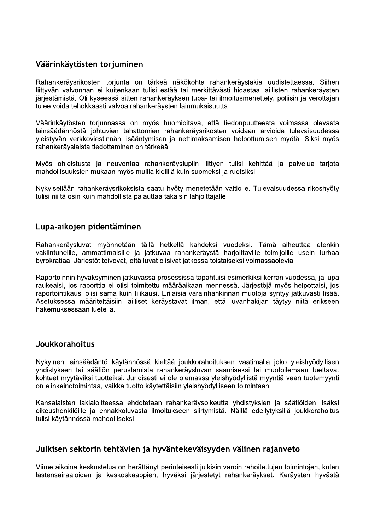# Väärinkäytösten torjuminen

Rahankeräysrikosten torjunta on tärkeä näkökohta rahankeräyslakia uudistettaessa. Siihen liittyvän valvonnan ei kuitenkaan tulisi estää tai merkittävästi hidastaa laillisten rahankeräysten järjestämistä. Oli kyseessä sitten rahankeräyksen lupa- tai ilmoitusmenettely, poliisin ja verottajan tulee voida tehokkaasti valvoa rahankeräysten lainmukaisuutta.

Väärinkäytösten torjunnassa on myös huomioitava, että tiedonpuutteesta voimassa olevasta lainsäädännöstä johtuvien tahattomien rahankeräysrikosten voidaan arvioida tulevaisuudessa yleistyvän verkkoviestinnän lisääntymisen ja nettimaksamisen helpottumisen myötä. Siksi myös rahankerävslaista tiedottaminen on tärkeää.

Myös ohjeistusta ja neuvontaa rahankeräyslupiin liittyen tulisi kehittää ja palvelua tarjota mahdollisuuksien mukaan myös muilla kielillä kuin suomeksi ja ruotsiksi.

Nykyisellään rahankeräysrikoksista saatu hyöty menetetään valtiolle. Tulevaisuudessa rikoshyöty tulisi niiltä osin kuin mahdollista palauttaa takaisin lahjoittajalle.

## Lupa-aikojen pidentäminen

Rahankeräysluvat myönnetään tällä hetkellä kahdeksi vuodeksi. Tämä aiheuttaa etenkin vakiintuneille, ammattimaisille ja jatkuvaa rahankeräystä harjoittaville toimijoille usein turhaa byrokratiaa. Järjestöt toivovat, että luvat olisivat jatkossa toistaiseksi voimassaolevia.

Raportoinnin hyväksyminen jatkuvassa prosessissa tapahtuisi esimerkiksi kerran vuodessa, ja lupa raukeaisi, jos raporttia ei olisi toimitettu määräaikaan mennessä. Järjestöjä myös helpottaisi, jos raportointikausi olisi sama kuin tilikausi. Erilaisia varainhankinnan muotoja syntyy jatkuvasti lisää. Asetuksessa määriteltäisiin lailliset keräystavat ilman, että luvanhakijan täytyy niitä erikseen hakemuksessaan luetella.

#### Joukkorahoitus

Nykyinen lainsäädäntö käytännössä kieltää joukkorahoituksen vaatimalla joko yleishyödyllisen yhdistyksen tai säätiön perustamista rahankeräysluvan saamiseksi tai muotoilemaan tuettavat kohteet myytäviksi tuotteiksi. Juridisesti ei ole olemassa yleishyödyllistä myyntiä vaan tuotemyynti on elinkeinotoimintaa, vaikka tuotto käytettäisiin yleishyödylliseen toimintaan.

Kansalaisten lakialoitteessa ehdotetaan rahankeräysoikeutta yhdistyksien ja säätiöiden lisäksi oikeushenkilöille ja ennakkoluvasta ilmoitukseen siirtymistä. Näillä edellytyksillä joukkorahoitus tulisi käytännössä mahdolliseksi.

#### Julkisen sektorin tehtävien ja hyväntekeväisyyden välinen rajanveto

Viime aikoina keskustelua on herättänyt perinteisesti julkisin varoin rahoitettujen toimintojen, kuten lastensairaaloiden ja keskoskaappien, hyväksi järjestetyt rahankeräykset. Keräysten hyvästä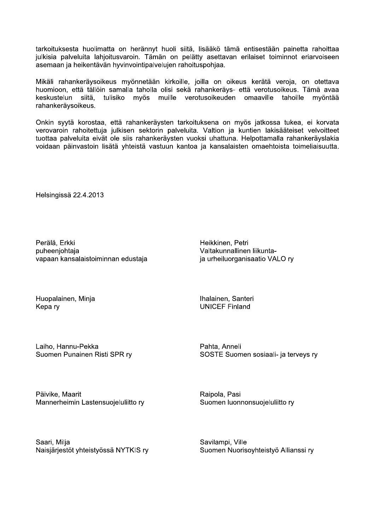tarkoituksesta huolimatta on herännyt huoli siitä, lisääkö tämä entisestään painetta rahoittaa julkisia palveluita lahjoitusvaroin. Tämän on pelätty asettavan erilaiset toiminnot eriarvoiseen asemaan ja heikentävän hyvinvointipalvelujen rahoituspohjaa.

Mikäli rahankeräysoikeus myönnetään kirkoille, joilla on oikeus kerätä veroja, on otettava huomioon, että tällöin samalla taholla olisi sekä rahankeräys- että verotusoikeus. Tämä avaa keskustelun siitä. tulisiko myös muille verotusoikeuden omaaville tahoille myöntää rahankeräysoikeus.

Onkin syytä korostaa, että rahankeräysten tarkoituksena on myös jatkossa tukea, ei korvata verovaroin rahoitettuja julkisen sektorin palveluita. Valtion ja kuntien lakisääteiset velvoitteet tuottaa palveluita eivät ole siis rahankeräysten vuoksi uhattuna. Helpottamalla rahankeräyslakia voidaan päinvastoin lisätä yhteistä vastuun kantoa ja kansalaisten omaehtoista toimeliaisuutta.

Helsingissä 22.4.2013

Perälä, Erkki puheenjohtaja vapaan kansalaistoiminnan edustaja

Heikkinen, Petri Valtakunnallinen liikuntaja urheiluorganisaatio VALO ry

Huopalainen, Minja Kepa ry

Ihalainen, Santeri **UNICEF Finland** 

Laiho, Hannu-Pekka Suomen Punainen Risti SPR ry Pahta, Anneli SOSTE Suomen sosiaali- ja terveys ry

Päivike, Maarit Mannerheimin Lastensuojeluliitto ry Raipola, Pasi Suomen luonnonsuojeluliitto ry

Saari, Milja Naisjärjestöt yhteistyössä NYTKIS ry Savilampi, Ville Suomen Nuorisoyhteistyö Allianssi ry